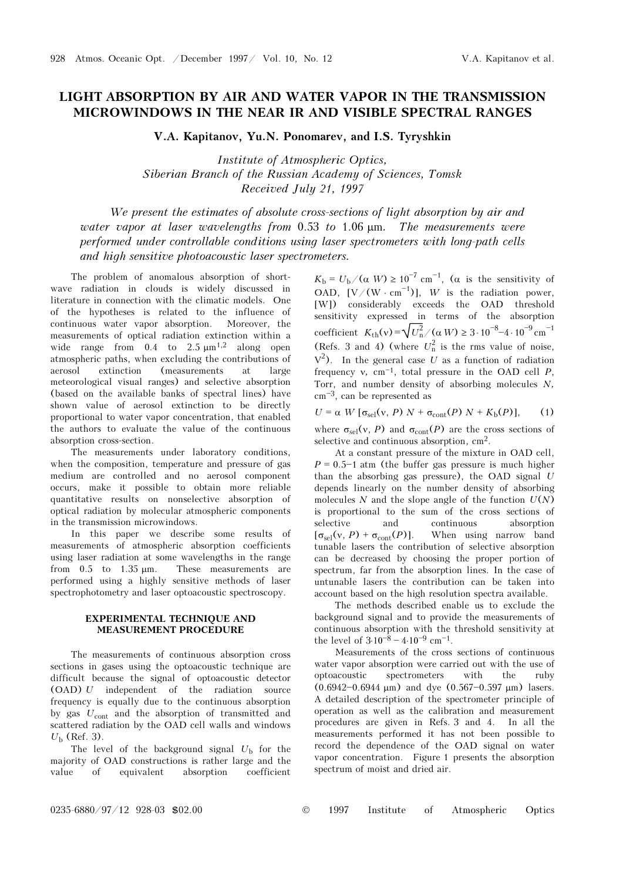## LIGHT ABSORPTION BY AIR AND WATER VAPOR IN THE TRANSMISSION MICROWINDOWS IN THE NEAR IR AND VISIBLE SPECTRAL RANGES

V.A. Kapitanov, Yu.N. Ponomarev, and I.S. Tyryshkin

Institute of Atmospheric Optics, Siberian Branch of the Russian Academy of Sciences, Tomsk Received July 21, 1997

We present the estimates of absolute cross-sections of light absorption by air and water vapor at laser wavelengths from  $0.53$  to  $1.06 \mu m$ . The measurements were performed under controllable conditions using laser spectrometers with long-path cells and high sensitive photoacoustic laser spectrometers.

The problem of anomalous absorption of shortwave radiation in clouds is widely discussed in literature in connection with the climatic models. One of the hypotheses is related to the influence of continuous water vapor absorption. Moreover, the measurements of optical radiation extinction within a wide range from  $0.4$  to  $2.5 \mu m^{1,2}$  along open atmospheric paths, when excluding the contributions of aerosol extinction (measurements at large meteorological visual ranges) and selective absorption (based on the available banks of spectral lines) have shown value of aerosol extinction to be directly proportional to water vapor concentration, that enabled the authors to evaluate the value of the continuous absorption cross-section.

The measurements under laboratory conditions, when the composition, temperature and pressure of gas medium are controlled and no aerosol component occurs, make it possible to obtain more reliable quantitative results on nonselective absorption of optical radiation by molecular atmospheric components in the transmission microwindows.

In this paper we describe some results of measurements of atmospheric absorption coefficients using laser radiation at some wavelengths in the range from 0.5 to 1.35 μm. These measurements are performed using a highly sensitive methods of laser spectrophotometry and laser optoacoustic spectroscopy.

## EXPERIMENTAL TECHNIQUE AND MEASUREMENT PROCEDURE

The measurements of continuous absorption cross sections in gases using the optoacoustic technique are difficult because the signal of optoacoustic detector (OAD) U independent of the radiation source frequency is equally due to the continuous absorption by gas  $U_{\text{cont}}$  and the absorption of transmitted and scattered radiation by the OAD cell walls and windows  $U_{\rm b}$  (Ref. 3).

The level of the background signal  $U<sub>b</sub>$  for the majority of OAD constructions is rather large and the value of equivalent absorption coefficient

 $K_{\rm b} = U_{\rm b}/(\alpha W) \geq 10^{-7}$  cm<sup>-1</sup>, ( $\alpha$  is the sensitivity of OAD,  $[V/(W \cdot cm^{-1})]$ , W is the radiation power, [W]) considerably exceeds the OAD threshold sensitivity expressed in terms of the absorption sensitivity expressed in terms of the absorption<br>coefficient  $K_{\text{th}}(v) = \sqrt{U_n^2}/(\alpha W) \ge 3 \cdot 10^{-8} - 4 \cdot 10^{-9} \text{ cm}^{-1}$ (Refs. 3 and 4) (where  $U_n^2$  is the rms value of noise,  $V^2$ ). In the general case U as a function of radiation frequency v, cm<sup>-1</sup>, total pressure in the OAD cell P, Torr, and number density of absorbing molecules N,  $cm<sup>-3</sup>$ , can be represented as

$$
U = \alpha \ W \left[ \sigma_{\text{sel}}(v, P) \ N + \sigma_{\text{cont}}(P) \ N + K_{\text{b}}(P) \right], \tag{1}
$$

where  $\sigma_{\text{sel}}(v, P)$  and  $\sigma_{\text{cont}}(P)$  are the cross sections of selective and continuous absorption, cm2.

At a constant pressure of the mixture in OAD cell,  $P = 0.5 - 1$  atm (the buffer gas pressure is much higher than the absorbing gas pressure), the OAD signal  $U$ depends linearly on the number density of absorbing molecules  $N$  and the slope angle of the function  $U(N)$ is proportional to the sum of the cross sections of selective and continuous absorption  $[\sigma_{\text{sel}}(v, P) + \sigma_{\text{cont}}(P)]$ . When using narrow band tunable lasers the contribution of selective absorption can be decreased by choosing the proper portion of spectrum, far from the absorption lines. In the case of untunable lasers the contribution can be taken into account based on the high resolution spectra available.

The methods described enable us to exclude the background signal and to provide the measurements of continuous absorption with the threshold sensitivity at the level of  $3.10^{-8} - 4.10^{-9}$  cm<sup>-1</sup>.

Measurements of the cross sections of continuous water vapor absorption were carried out with the use of optoacoustic spectrometers with the ruby  $(0.6942 - 0.6944 \text{ µm})$  and dye  $(0.567 - 0.597 \text{ µm})$  lasers. A detailed description of the spectrometer principle of operation as well as the calibration and measurement procedures are given in Refs. 3 and 4. In all the measurements performed it has not been possible to record the dependence of the OAD signal on water vapor concentration. Figure 1 presents the absorption spectrum of moist and dried air.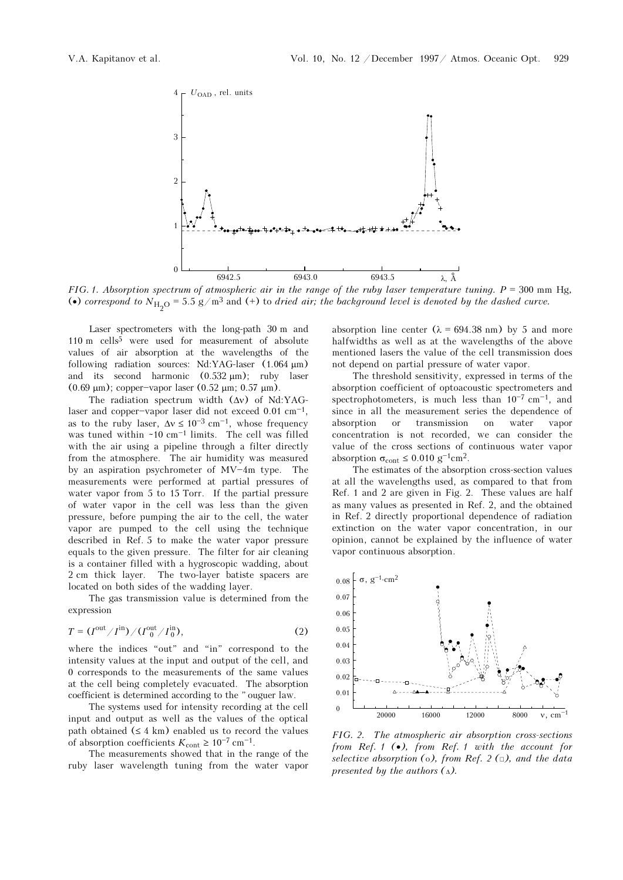

FIG. 1. Absorption spectrum of atmospheric air in the range of the ruby laser temperature tuning.  $P = 300$  mm Hg, (•) correspond to  $N_{\rm H_2O}$  = 5.5 g/m<sup>3</sup> and (+) to dried air; the background level is denoted by the dashed curve.

Laser spectrometers with the long-path 30 m and  $110 \text{ m}$  cells<sup>5</sup> were used for measurement of absolute values of air absorption at the wavelengths of the following radiation sources: Nd:YAG-laser (1.064 μm) and its second harmonic (0.532 μm); ruby laser (0.69 μm); copper-vapor laser (0.52 μm; 0.57 μm).

The radiation spectrum width (Δν) of Nd:YAGlaser and copper-vapor laser did not exceed  $0.01 \text{ cm}^{-1}$ , as to the ruby laser,  $\Delta v \le 10^{-3}$  cm<sup>-1</sup>, whose frequency was tuned within  $\sim 10 \text{ cm}^{-1}$  limits. The cell was filled with the air using a pipeline through a filter directly from the atmosphere. The air humidity was measured by an aspiration psychrometer of  $MV-4m$  type. The measurements were performed at partial pressures of water vapor from 5 to 15 Torr. If the partial pressure of water vapor in the cell was less than the given pressure, before pumping the air to the cell, the water vapor are pumped to the cell using the technique described in Ref. 5 to make the water vapor pressure equals to the given pressure. The filter for air cleaning is a container filled with a hygroscopic wadding, about 2 cm thick layer. The two-layer batiste spacers are located on both sides of the wadding layer.

The gas transmission value is determined from the expression

$$
T = (Iout/Iin)/(Iout0/Iin0),
$$
 (2)

where the indices "out" and "in" correspond to the intensity values at the input and output of the cell, and 0 corresponds to the measurements of the same values at the cell being completely evacuated. The absorption coefficient is determined according to the "ouguer law.

The systems used for intensity recording at the cell input and output as well as the values of the optical path obtained  $(\leq 4 \text{ km})$  enabled us to record the values of absorption coefficients  $K_{\text{cont}} \geq 10^{-7} \text{ cm}^{-1}$ .

The measurements showed that in the range of the ruby laser wavelength tuning from the water vapor absorption line center  $(\lambda = 694.38 \text{ nm})$  by 5 and more halfwidths as well as at the wavelengths of the above mentioned lasers the value of the cell transmission does not depend on partial pressure of water vapor.

The threshold sensitivity, expressed in terms of the absorption coefficient of optoacoustic spectrometers and spectrophotometers, is much less than  $10^{-7}$  cm<sup>-1</sup>, and since in all the measurement series the dependence of absorption or transmission on water vapor concentration is not recorded, we can consider the value of the cross sections of continuous water vapor absorption  $\sigma_{\text{cont}} \leq 0.010 \text{ g}^{-1} \text{cm}^2$ .

The estimates of the absorption cross-section values at all the wavelengths used, as compared to that from Ref. 1 and 2 are given in Fig. 2. These values are half as many values as presented in Ref. 2, and the obtained in Ref. 2 directly proportional dependence of radiation extinction on the water vapor concentration, in our opinion, cannot be explained by the influence of water vapor continuous absorption.



FIG. 2. The atmospheric air absorption cross-sections from Ref. 1 (•), from Ref. 1 with the account for selective absorption ( $\circ$ ), from Ref. 2 ( $\circ$ ), and the data presented by the authors  $(\Delta)$ .